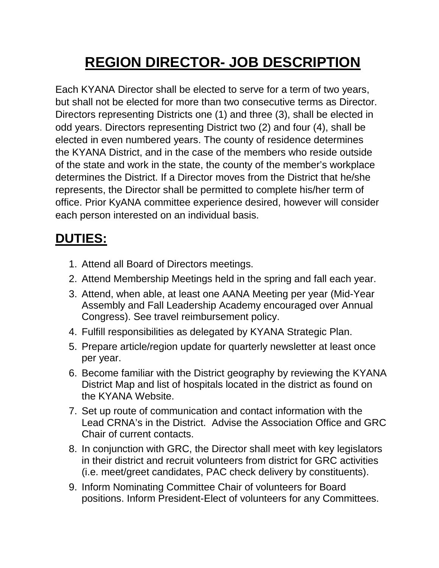## **REGION DIRECTOR- JOB DESCRIPTION**

Each KYANA Director shall be elected to serve for a term of two years, but shall not be elected for more than two consecutive terms as Director. Directors representing Districts one (1) and three (3), shall be elected in odd years. Directors representing District two (2) and four (4), shall be elected in even numbered years. The county of residence determines the KYANA District, and in the case of the members who reside outside of the state and work in the state, the county of the member's workplace determines the District. If a Director moves from the District that he/she represents, the Director shall be permitted to complete his/her term of office. Prior KyANA committee experience desired, however will consider each person interested on an individual basis.

## **DUTIES:**

- 1. Attend all Board of Directors meetings.
- 2. Attend Membership Meetings held in the spring and fall each year.
- 3. Attend, when able, at least one AANA Meeting per year (Mid-Year Assembly and Fall Leadership Academy encouraged over Annual Congress). See travel reimbursement policy.
- 4. Fulfill responsibilities as delegated by KYANA Strategic Plan.
- 5. Prepare article/region update for quarterly newsletter at least once per year.
- 6. Become familiar with the District geography by reviewing the KYANA District Map and list of hospitals located in the district as found on the KYANA Website.
- 7. Set up route of communication and contact information with the Lead CRNA's in the District. Advise the Association Office and GRC Chair of current contacts.
- 8. In conjunction with GRC, the Director shall meet with key legislators in their district and recruit volunteers from district for GRC activities (i.e. meet/greet candidates, PAC check delivery by constituents).
- 9. Inform Nominating Committee Chair of volunteers for Board positions. Inform President-Elect of volunteers for any Committees.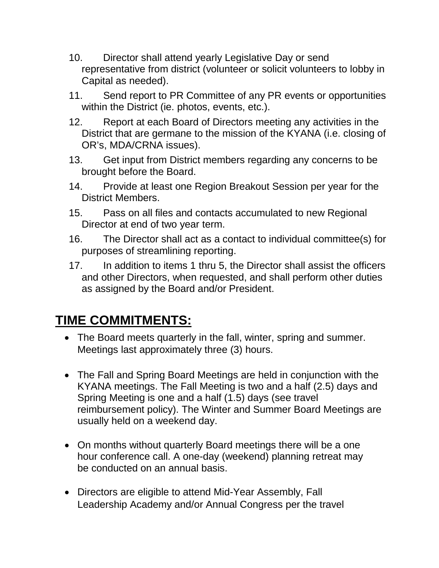- 10. Director shall attend yearly Legislative Day or send representative from district (volunteer or solicit volunteers to lobby in Capital as needed).
- 11. Send report to PR Committee of any PR events or opportunities within the District (ie. photos, events, etc.).
- 12. Report at each Board of Directors meeting any activities in the District that are germane to the mission of the KYANA (i.e. closing of OR's, MDA/CRNA issues).
- 13. Get input from District members regarding any concerns to be brought before the Board.
- 14. Provide at least one Region Breakout Session per year for the District Members.
- 15. Pass on all files and contacts accumulated to new Regional Director at end of two year term.
- 16. The Director shall act as a contact to individual committee(s) for purposes of streamlining reporting.
- 17. In addition to items 1 thru 5, the Director shall assist the officers and other Directors, when requested, and shall perform other duties as assigned by the Board and/or President.

## **TIME COMMITMENTS:**

- The Board meets quarterly in the fall, winter, spring and summer. Meetings last approximately three (3) hours.
- The Fall and Spring Board Meetings are held in conjunction with the KYANA meetings. The Fall Meeting is two and a half (2.5) days and Spring Meeting is one and a half (1.5) days (see travel reimbursement policy). The Winter and Summer Board Meetings are usually held on a weekend day.
- On months without quarterly Board meetings there will be a one hour conference call. A one-day (weekend) planning retreat may be conducted on an annual basis.
- Directors are eligible to attend Mid-Year Assembly, Fall Leadership Academy and/or Annual Congress per the travel